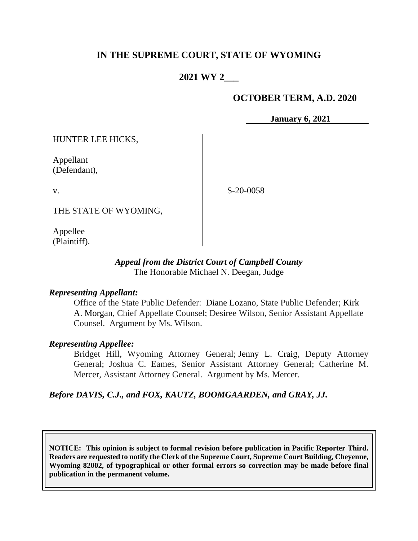# **IN THE SUPREME COURT, STATE OF WYOMING**

# **2021 WY 2\_\_\_**

### **OCTOBER TERM, A.D. 2020**

**January 6, 2021**

HUNTER LEE HICKS,

Appellant (Defendant),

v.

S-20-0058

THE STATE OF WYOMING,

Appellee (Plaintiff).

### *Appeal from the District Court of Campbell County* The Honorable Michael N. Deegan, Judge

#### *Representing Appellant:*

Office of the State Public Defender: Diane Lozano, State Public Defender; Kirk A. Morgan, Chief Appellate Counsel; Desiree Wilson, Senior Assistant Appellate Counsel. Argument by Ms. Wilson.

### *Representing Appellee:*

Bridget Hill, Wyoming Attorney General; Jenny L. Craig, Deputy Attorney General; Joshua C. Eames, Senior Assistant Attorney General; Catherine M. Mercer, Assistant Attorney General. Argument by Ms. Mercer.

#### *Before DAVIS, C.J., and FOX, KAUTZ, BOOMGAARDEN, and GRAY, JJ.*

**NOTICE: This opinion is subject to formal revision before publication in Pacific Reporter Third. Readers are requested to notify the Clerk of the Supreme Court, Supreme Court Building, Cheyenne, Wyoming 82002, of typographical or other formal errors so correction may be made before final publication in the permanent volume.**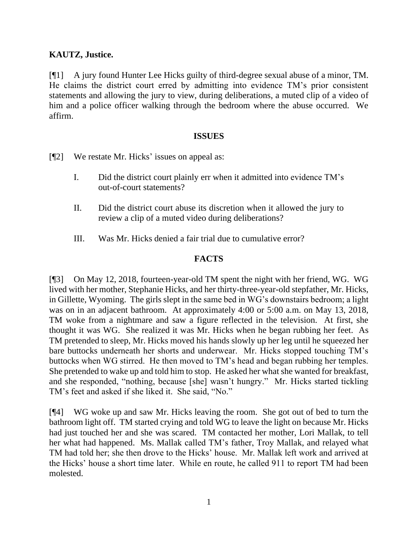## **KAUTZ, Justice.**

[¶1] A jury found Hunter Lee Hicks guilty of third-degree sexual abuse of a minor, TM. He claims the district court erred by admitting into evidence TM's prior consistent statements and allowing the jury to view, during deliberations, a muted clip of a video of him and a police officer walking through the bedroom where the abuse occurred. We affirm.

#### **ISSUES**

- [¶2] We restate Mr. Hicks' issues on appeal as:
	- I. Did the district court plainly err when it admitted into evidence TM's out-of-court statements?
	- II. Did the district court abuse its discretion when it allowed the jury to review a clip of a muted video during deliberations?
	- III. Was Mr. Hicks denied a fair trial due to cumulative error?

## **FACTS**

[¶3] On May 12, 2018, fourteen-year-old TM spent the night with her friend, WG. WG lived with her mother, Stephanie Hicks, and her thirty-three-year-old stepfather, Mr. Hicks, in Gillette, Wyoming. The girls slept in the same bed in WG's downstairs bedroom; a light was on in an adjacent bathroom. At approximately 4:00 or 5:00 a.m. on May 13, 2018, TM woke from a nightmare and saw a figure reflected in the television. At first, she thought it was WG. She realized it was Mr. Hicks when he began rubbing her feet. As TM pretended to sleep, Mr. Hicks moved his hands slowly up her leg until he squeezed her bare buttocks underneath her shorts and underwear. Mr. Hicks stopped touching TM's buttocks when WG stirred. He then moved to TM's head and began rubbing her temples. She pretended to wake up and told him to stop. He asked her what she wanted for breakfast, and she responded, "nothing, because [she] wasn't hungry." Mr. Hicks started tickling TM's feet and asked if she liked it. She said, "No."

[¶4] WG woke up and saw Mr. Hicks leaving the room. She got out of bed to turn the bathroom light off. TM started crying and told WG to leave the light on because Mr. Hicks had just touched her and she was scared. TM contacted her mother, Lori Mallak, to tell her what had happened. Ms. Mallak called TM's father, Troy Mallak, and relayed what TM had told her; she then drove to the Hicks' house. Mr. Mallak left work and arrived at the Hicks' house a short time later. While en route, he called 911 to report TM had been molested.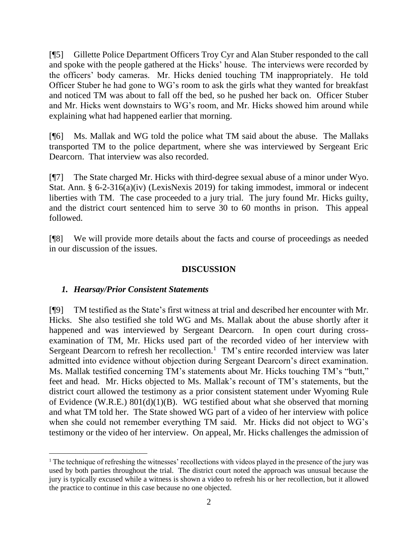[¶5] Gillette Police Department Officers Troy Cyr and Alan Stuber responded to the call and spoke with the people gathered at the Hicks' house. The interviews were recorded by the officers' body cameras. Mr. Hicks denied touching TM inappropriately. He told Officer Stuber he had gone to WG's room to ask the girls what they wanted for breakfast and noticed TM was about to fall off the bed, so he pushed her back on. Officer Stuber and Mr. Hicks went downstairs to WG's room, and Mr. Hicks showed him around while explaining what had happened earlier that morning.

[¶6] Ms. Mallak and WG told the police what TM said about the abuse. The Mallaks transported TM to the police department, where she was interviewed by Sergeant Eric Dearcorn. That interview was also recorded.

[¶7] The State charged Mr. Hicks with third-degree sexual abuse of a minor under Wyo. Stat. Ann. § 6-2-316(a)(iv) (LexisNexis 2019) for taking immodest, immoral or indecent liberties with TM. The case proceeded to a jury trial. The jury found Mr. Hicks guilty, and the district court sentenced him to serve 30 to 60 months in prison. This appeal followed.

[¶8] We will provide more details about the facts and course of proceedings as needed in our discussion of the issues.

### **DISCUSSION**

## *1. Hearsay/Prior Consistent Statements*

[¶9] TM testified as the State's first witness at trial and described her encounter with Mr. Hicks. She also testified she told WG and Ms. Mallak about the abuse shortly after it happened and was interviewed by Sergeant Dearcorn. In open court during crossexamination of TM, Mr. Hicks used part of the recorded video of her interview with Sergeant Dearcorn to refresh her recollection.<sup>1</sup> TM's entire recorded interview was later admitted into evidence without objection during Sergeant Dearcorn's direct examination. Ms. Mallak testified concerning TM's statements about Mr. Hicks touching TM's "butt," feet and head. Mr. Hicks objected to Ms. Mallak's recount of TM's statements, but the district court allowed the testimony as a prior consistent statement under Wyoming Rule of Evidence (W.R.E.) 801(d)(1)(B). WG testified about what she observed that morning and what TM told her. The State showed WG part of a video of her interview with police when she could not remember everything TM said. Mr. Hicks did not object to WG's testimony or the video of her interview. On appeal, Mr. Hicks challenges the admission of

<sup>&</sup>lt;sup>1</sup> The technique of refreshing the witnesses' recollections with videos played in the presence of the jury was used by both parties throughout the trial. The district court noted the approach was unusual because the jury is typically excused while a witness is shown a video to refresh his or her recollection, but it allowed the practice to continue in this case because no one objected.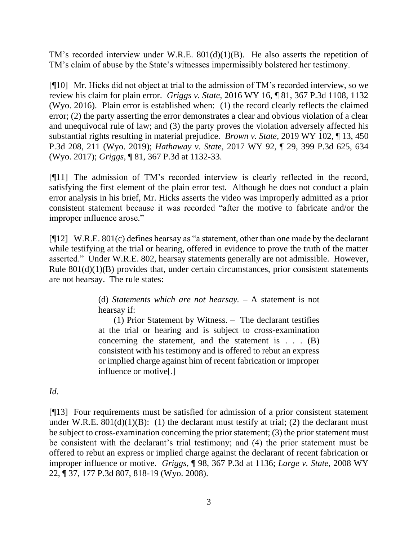TM's recorded interview under W.R.E. 801(d)(1)(B). He also asserts the repetition of TM's claim of abuse by the State's witnesses impermissibly bolstered her testimony.

[¶10] Mr. Hicks did not object at trial to the admission of TM's recorded interview, so we review his claim for plain error. *Griggs v. State,* 2016 WY 16, ¶ 81, 367 P.3d 1108, 1132 (Wyo. 2016).Plain error is established when: (1) the record clearly reflects the claimed error; (2) the party asserting the error demonstrates a clear and obvious violation of a clear and unequivocal rule of law; and (3) the party proves the violation adversely affected his substantial rights resulting in material prejudice. *Brown v. State,* 2019 WY 102, ¶ 13, 450 P.3d 208, 211 (Wyo. 2019); *Hathaway v. State,* 2017 WY 92, ¶ 29, 399 P.3d 625, 634 (Wyo. 2017); *Griggs,* ¶ 81, 367 P.3d at 1132-33.

[¶11] The admission of TM's recorded interview is clearly reflected in the record, satisfying the first element of the plain error test. Although he does not conduct a plain error analysis in his brief, Mr. Hicks asserts the video was improperly admitted as a prior consistent statement because it was recorded "after the motive to fabricate and/or the improper influence arose."

[¶12] W.R.E. 801(c) defines hearsay as "a statement, other than one made by the declarant while testifying at the trial or hearing, offered in evidence to prove the truth of the matter asserted." Under W.R.E. 802, hearsay statements generally are not admissible. However, Rule  $801(d)(1)(B)$  provides that, under certain circumstances, prior consistent statements are not hearsay. The rule states:

> (d) *Statements which are not hearsay.* – A statement is not hearsay if:

> (1) Prior Statement by Witness*. –* The declarant testifies at the trial or hearing and is subject to cross-examination concerning the statement, and the statement is  $\ldots$  (B) consistent with his testimony and is offered to rebut an express or implied charge against him of recent fabrication or improper influence or motive[.]

*Id*.

[¶13] Four requirements must be satisfied for admission of a prior consistent statement under W.R.E.  $801(d)(1)(B)$ : (1) the declarant must testify at trial; (2) the declarant must be subject to cross-examination concerning the prior statement; (3) the prior statement must be consistent with the declarant's trial testimony; and (4) the prior statement must be offered to rebut an express or implied charge against the declarant of recent fabrication or improper influence or motive. *Griggs,* ¶ 98, 367 P.3d at 1136; *Large v. State,* 2008 WY 22, ¶ 37, 177 P.3d 807, 818-19 (Wyo. 2008).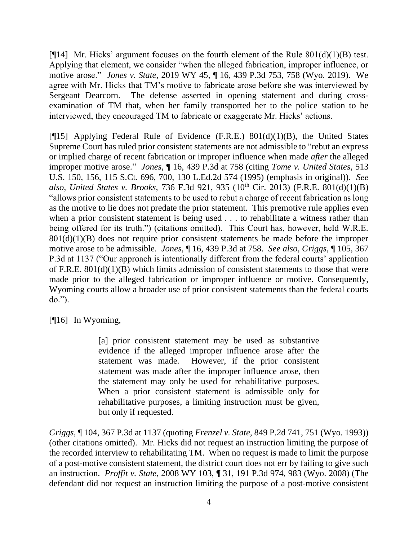[ $[14]$  Mr. Hicks' argument focuses on the fourth element of the Rule 801(d)(1)(B) test. Applying that element, we consider "when the alleged fabrication, improper influence, or motive arose." *Jones v. State,* 2019 WY 45, ¶ 16, 439 P.3d 753, 758 (Wyo. 2019). We agree with Mr. Hicks that TM's motive to fabricate arose before she was interviewed by Sergeant Dearcorn. The defense asserted in opening statement and during crossexamination of TM that, when her family transported her to the police station to be interviewed, they encouraged TM to fabricate or exaggerate Mr. Hicks' actions.

[ $[15]$  Applying Federal Rule of Evidence (F.R.E.) 801(d)(1)(B), the United States Supreme Court has ruled prior consistent statements are not admissible to "rebut an express or implied charge of recent fabrication or improper influence when made *after* the alleged improper motive arose." *Jones,* ¶ 16, 439 P.3d at 758 (citing *Tome v. United States*, 513 U.S. 150, 156, 115 S.Ct. 696, 700, 130 L.Ed.2d 574 (1995) (emphasis in original)).*See also, United States v. Brooks, 736 F.3d 921, 935 (10<sup>th</sup> Cir. 2013) (F.R.E. 801(d)(1)(B)* "allows prior consistent statements to be used to rebut a charge of recent fabrication as long as the motive to lie does not predate the prior statement. This premotive rule applies even when a prior consistent statement is being used . . . to rehabilitate a witness rather than being offered for its truth.") (citations omitted). This Court has, however, held W.R.E.  $801(d)(1)(B)$  does not require prior consistent statements be made before the improper motive arose to be admissible. *Jones,* ¶ 16, 439 P.3d at 758. *See also, Griggs,* ¶ 105, 367 P.3d at 1137 ("Our approach is intentionally different from the federal courts' application of F.R.E.  $801(d)(1)(B)$  which limits admission of consistent statements to those that were made prior to the alleged fabrication or improper influence or motive. Consequently, Wyoming courts allow a broader use of prior consistent statements than the federal courts do.").

[¶16] In Wyoming,

[a] prior consistent statement may be used as substantive evidence if the alleged improper influence arose after the statement was made. However, if the prior consistent statement was made after the improper influence arose, then the statement may only be used for rehabilitative purposes. When a prior consistent statement is admissible only for rehabilitative purposes, a limiting instruction must be given, but only if requested.

*Griggs,* ¶ 104, 367 P.3d at 1137 (quoting *Frenzel v. State,* 849 P.2d 741, 751 (Wyo. 1993)) (other citations omitted). Mr. Hicks did not request an instruction limiting the purpose of the recorded interview to rehabilitating TM. When no request is made to limit the purpose of a post-motive consistent statement, the district court does not err by failing to give such an instruction. *Proffit v. State,* 2008 WY 103, ¶ 31, 191 P.3d 974, 983 (Wyo. 2008) (The defendant did not request an instruction limiting the purpose of a post-motive consistent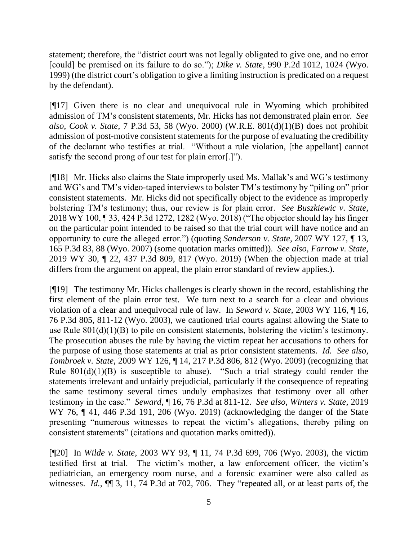statement; therefore, the "district court was not legally obligated to give one, and no error [could] be premised on its failure to do so."); *Dike v. State,* 990 P.2d 1012, 1024 (Wyo. 1999) (the district court's obligation to give a limiting instruction is predicated on a request by the defendant).

[¶17] Given there is no clear and unequivocal rule in Wyoming which prohibited admission of TM's consistent statements, Mr. Hicks has not demonstrated plain error. *See also, Cook v. State,* 7 P.3d 53, 58 (Wyo. 2000) (W.R.E. 801(d)(1)(B) does not prohibit admission of post-motive consistent statements for the purpose of evaluating the credibility of the declarant who testifies at trial. "Without a rule violation, [the appellant] cannot satisfy the second prong of our test for plain error[.]").

[¶18] Mr. Hicks also claims the State improperly used Ms. Mallak's and WG's testimony and WG's and TM's video-taped interviews to bolster TM's testimony by "piling on" prior consistent statements. Mr. Hicks did not specifically object to the evidence as improperly bolstering TM's testimony; thus, our review is for plain error. *See Buszkiewic v. State,*  2018 WY 100, ¶ 33, 424 P.3d 1272, 1282 (Wyo. 2018) ("The objector should lay his finger on the particular point intended to be raised so that the trial court will have notice and an opportunity to cure the alleged error.") (quoting *Sanderson v. State*, 2007 WY 127, ¶ 13, 165 P.3d 83, 88 (Wyo. 2007) (some quotation marks omitted)). *See also, Farrow v. State,* 2019 WY 30, ¶ 22, 437 P.3d 809, 817 (Wyo. 2019) (When the objection made at trial differs from the argument on appeal, the plain error standard of review applies.).

[¶19] The testimony Mr. Hicks challenges is clearly shown in the record, establishing the first element of the plain error test. We turn next to a search for a clear and obvious violation of a clear and unequivocal rule of law. In *Seward v. State,* 2003 WY 116, ¶ 16, 76 P.3d 805, 811-12 (Wyo. 2003), we cautioned trial courts against allowing the State to use Rule  $801(d)(1)(B)$  to pile on consistent statements, bolstering the victim's testimony. The prosecution abuses the rule by having the victim repeat her accusations to others for the purpose of using those statements at trial as prior consistent statements. *Id. See also, Tombroek v. State,* 2009 WY 126, ¶ 14, 217 P.3d 806, 812 (Wyo. 2009) (recognizing that Rule  $801(d)(1)(B)$  is susceptible to abuse). "Such a trial strategy could render the statements irrelevant and unfairly prejudicial, particularly if the consequence of repeating the same testimony several times unduly emphasizes that testimony over all other testimony in the case." *Seward*, ¶ 16, 76 P.3d at 811-12. *See also, Winters v. State,* 2019 WY 76, ¶ 41, 446 P.3d 191, 206 (Wyo. 2019) (acknowledging the danger of the State presenting "numerous witnesses to repeat the victim's allegations, thereby piling on consistent statements" (citations and quotation marks omitted)).

[¶20] In *Wilde v. State,* 2003 WY 93, ¶ 11, 74 P.3d 699, 706 (Wyo. 2003), the victim testified first at trial. The victim's mother, a law enforcement officer, the victim's pediatrician, an emergency room nurse, and a forensic examiner were also called as witnesses. *Id.*, ¶¶ 3, 11, 74 P.3d at 702, 706.They "repeated all, or at least parts of, the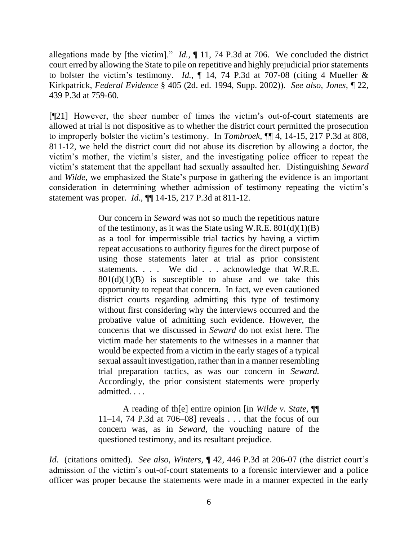allegations made by [the victim]." *Id.*, ¶ 11, 74 P.3d at 706. We concluded the district court erred by allowing the State to pile on repetitive and highly prejudicial prior statements to bolster the victim's testimony. *Id.*, ¶ 14, 74 P.3d at 707-08 (citing 4 Mueller & Kirkpatrick, *Federal Evidence* § 405 (2d. ed. 1994, Supp. 2002)). *See also, Jones,* ¶ 22, 439 P.3d at 759-60.

[¶21] However, the sheer number of times the victim's out-of-court statements are allowed at trial is not dispositive as to whether the district court permitted the prosecution to improperly bolster the victim's testimony. In *Tombroek,* ¶¶ 4, 14-15, 217 P.3d at 808, 811-12, we held the district court did not abuse its discretion by allowing a doctor, the victim's mother, the victim's sister, and the investigating police officer to repeat the victim's statement that the appellant had sexually assaulted her. Distinguishing *Seward*  and *Wilde,* we emphasized the State's purpose in gathering the evidence is an important consideration in determining whether admission of testimony repeating the victim's statement was proper. *Id.,* ¶¶ 14-15, 217 P.3d at 811-12.

> Our concern in *Seward* was not so much the repetitious nature of the testimony, as it was the State using W.R.E.  $801(d)(1)(B)$ as a tool for impermissible trial tactics by having a victim repeat accusations to authority figures for the direct purpose of using those statements later at trial as prior consistent statements. . . . We did . . . acknowledge that W.R.E.  $801(d)(1)(B)$  is susceptible to abuse and we take this opportunity to repeat that concern. In fact, we even cautioned district courts regarding admitting this type of testimony without first considering why the interviews occurred and the probative value of admitting such evidence. However, the concerns that we discussed in *Seward* do not exist here. The victim made her statements to the witnesses in a manner that would be expected from a victim in the early stages of a typical sexual assault investigation, rather than in a manner resembling trial preparation tactics, as was our concern in *Seward.* Accordingly, the prior consistent statements were properly admitted. . . .

> A reading of th[e] entire opinion [in *Wilde v. State,* ¶¶ 11–14, 74 P.3d at 706–08] reveals . . . that the focus of our concern was, as in *Seward,* the vouching nature of the questioned testimony, and its resultant prejudice.

*Id.* (citations omitted). *See also, Winters,* ¶ 42, 446 P.3d at 206-07 (the district court's admission of the victim's out-of-court statements to a forensic interviewer and a police officer was proper because the statements were made in a manner expected in the early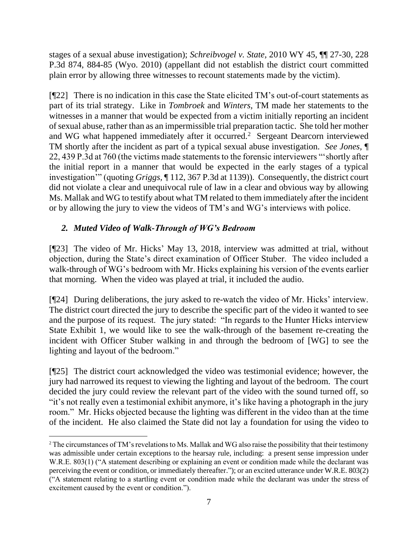stages of a sexual abuse investigation); *Schreibvogel v. State,* 2010 WY 45, ¶¶ 27-30, 228 P.3d 874, 884-85 (Wyo. 2010) (appellant did not establish the district court committed plain error by allowing three witnesses to recount statements made by the victim).

[¶22] There is no indication in this case the State elicited TM's out-of-court statements as part of its trial strategy. Like in *Tombroek* and *Winters,* TM made her statements to the witnesses in a manner that would be expected from a victim initially reporting an incident of sexual abuse, rather than as an impermissible trial preparation tactic. She told her mother and WG what happened immediately after it occurred.<sup>2</sup> Sergeant Dearcorn interviewed TM shortly after the incident as part of a typical sexual abuse investigation. *See Jones,* ¶ 22, 439 P.3d at 760 (the victims made statements to the forensic interviewers "'shortly after the initial report in a manner that would be expected in the early stages of a typical investigation'" (quoting *Griggs,* ¶ 112, 367 P.3d at 1139)). Consequently, the district court did not violate a clear and unequivocal rule of law in a clear and obvious way by allowing Ms. Mallak and WG to testify about what TM related to them immediately after the incident or by allowing the jury to view the videos of TM's and WG's interviews with police.

# *2. Muted Video of Walk-Through of WG's Bedroom*

[¶23] The video of Mr. Hicks' May 13, 2018, interview was admitted at trial, without objection, during the State's direct examination of Officer Stuber. The video included a walk-through of WG's bedroom with Mr. Hicks explaining his version of the events earlier that morning. When the video was played at trial, it included the audio.

[¶24] During deliberations, the jury asked to re-watch the video of Mr. Hicks' interview. The district court directed the jury to describe the specific part of the video it wanted to see and the purpose of its request. The jury stated: "In regards to the Hunter Hicks interview State Exhibit 1, we would like to see the walk-through of the basement re-creating the incident with Officer Stuber walking in and through the bedroom of [WG] to see the lighting and layout of the bedroom."

[¶25] The district court acknowledged the video was testimonial evidence; however, the jury had narrowed its request to viewing the lighting and layout of the bedroom. The court decided the jury could review the relevant part of the video with the sound turned off, so "it's not really even a testimonial exhibit anymore, it's like having a photograph in the jury room." Mr. Hicks objected because the lighting was different in the video than at the time of the incident. He also claimed the State did not lay a foundation for using the video to

<sup>2</sup> The circumstances of TM's revelations to Ms. Mallak and WG also raise the possibility that their testimony was admissible under certain exceptions to the hearsay rule, including: a present sense impression under W.R.E. 803(1) ("A statement describing or explaining an event or condition made while the declarant was perceiving the event or condition, or immediately thereafter."); or an excited utterance under W.R.E. 803(2) ("A statement relating to a startling event or condition made while the declarant was under the stress of excitement caused by the event or condition.").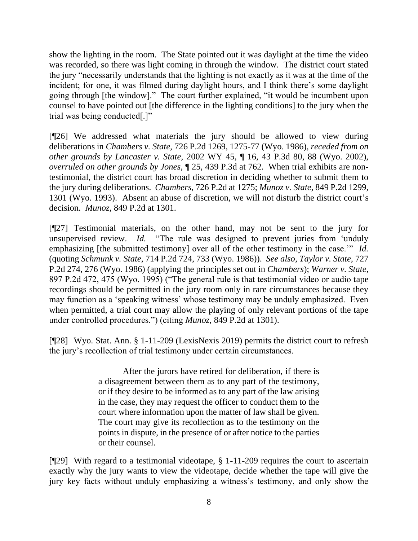show the lighting in the room. The State pointed out it was daylight at the time the video was recorded, so there was light coming in through the window. The district court stated the jury "necessarily understands that the lighting is not exactly as it was at the time of the incident; for one, it was filmed during daylight hours, and I think there's some daylight going through [the window]." The court further explained, "it would be incumbent upon counsel to have pointed out [the difference in the lighting conditions] to the jury when the trial was being conducted[.]"

[¶26] We addressed what materials the jury should be allowed to view during deliberations in *Chambers v. State,* 726 P.2d 1269, 1275-77 (Wyo. 1986), *receded from on other grounds by Lancaster v. State,* 2002 WY 45, ¶ 16, 43 P.3d 80, 88 (Wyo. 2002), *overruled on other grounds by Jones,* ¶ 25, 439 P.3d at 762. When trial exhibits are nontestimonial, the district court has broad discretion in deciding whether to submit them to the jury during deliberations. *Chambers,* 726 P.2d at 1275; *Munoz v. State,* 849 P.2d 1299, 1301 (Wyo. 1993). Absent an abuse of discretion, we will not disturb the district court's decision. *Munoz,* 849 P.2d at 1301.

[¶27] Testimonial materials, on the other hand, may not be sent to the jury for unsupervised review. *Id.* "The rule was designed to prevent juries from 'unduly emphasizing [the submitted testimony] over all of the other testimony in the case.'" *Id.* (quoting *Schmunk v. State*, 714 P.2d 724, 733 (Wyo. 1986)). *See also, Taylor v. State,* 727 P.2d 274, 276 (Wyo. 1986) (applying the principles set out in *Chambers*); *Warner v. State*, 897 P.2d 472, 475 (Wyo. 1995) ("The general rule is that testimonial video or audio tape recordings should be permitted in the jury room only in rare circumstances because they may function as a 'speaking witness' whose testimony may be unduly emphasized. Even when permitted, a trial court may allow the playing of only relevant portions of the tape under controlled procedures.") (citing *Munoz,* 849 P.2d at 1301).

[¶28] Wyo. Stat. Ann. § 1-11-209 (LexisNexis 2019) permits the district court to refresh the jury's recollection of trial testimony under certain circumstances.

> After the jurors have retired for deliberation, if there is a disagreement between them as to any part of the testimony, or if they desire to be informed as to any part of the law arising in the case, they may request the officer to conduct them to the court where information upon the matter of law shall be given. The court may give its recollection as to the testimony on the points in dispute, in the presence of or after notice to the parties or their counsel.

[¶29] With regard to a testimonial videotape, § 1-11-209 requires the court to ascertain exactly why the jury wants to view the videotape, decide whether the tape will give the jury key facts without unduly emphasizing a witness's testimony, and only show the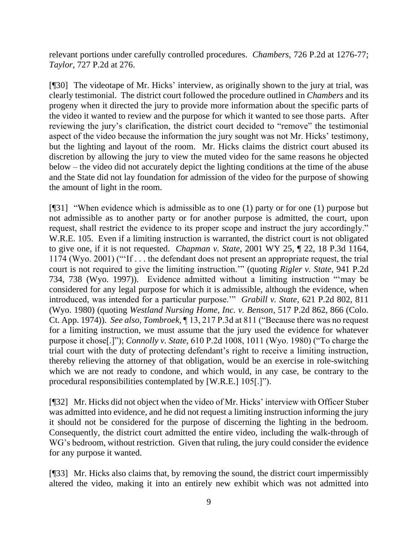relevant portions under carefully controlled procedures. *Chambers,* 726 P.2d at 1276-77; *Taylor,* 727 P.2d at 276.

[¶30] The videotape of Mr. Hicks' interview, as originally shown to the jury at trial, was clearly testimonial. The district court followed the procedure outlined in *Chambers* and its progeny when it directed the jury to provide more information about the specific parts of the video it wanted to review and the purpose for which it wanted to see those parts. After reviewing the jury's clarification, the district court decided to "remove" the testimonial aspect of the video because the information the jury sought was not Mr. Hicks' testimony, but the lighting and layout of the room. Mr. Hicks claims the district court abused its discretion by allowing the jury to view the muted video for the same reasons he objected below – the video did not accurately depict the lighting conditions at the time of the abuse and the State did not lay foundation for admission of the video for the purpose of showing the amount of light in the room.

[¶31] "When evidence which is admissible as to one (1) party or for one (1) purpose but not admissible as to another party or for another purpose is admitted, the court, upon request, shall restrict the evidence to its proper scope and instruct the jury accordingly." W.R.E. 105. Even if a limiting instruction is warranted, the district court is not obligated to give one, if it is not requested. *Chapman v. State,* 2001 WY 25, ¶ 22, 18 P.3d 1164, 1174 (Wyo. 2001) ("'If . . . the defendant does not present an appropriate request, the trial court is not required to give the limiting instruction.'" (quoting *Rigler v. State,* 941 P.2d 734, 738 (Wyo. 1997)). Evidence admitted without a limiting instruction "'may be considered for any legal purpose for which it is admissible, although the evidence, when introduced, was intended for a particular purpose.'" *Grabill v. State,* 621 P.2d 802, 811 (Wyo. 1980) (quoting *Westland Nursing Home, Inc. v. Benson*, 517 P.2d 862, 866 (Colo. Ct. App. 1974)). *See also, Tombroek,* ¶ 13, 217 P.3d at 811 ("Because there was no request for a limiting instruction, we must assume that the jury used the evidence for whatever purpose it chose[.]"); *Connolly v. State,* 610 P.2d 1008, 1011 (Wyo. 1980) ("To charge the trial court with the duty of protecting defendant's right to receive a limiting instruction, thereby relieving the attorney of that obligation, would be an exercise in role-switching which we are not ready to condone, and which would, in any case, be contrary to the procedural responsibilities contemplated by [W.R.E.] 105[.]").

[¶32] Mr. Hicks did not object when the video of Mr. Hicks' interview with Officer Stuber was admitted into evidence, and he did not request a limiting instruction informing the jury it should not be considered for the purpose of discerning the lighting in the bedroom. Consequently, the district court admitted the entire video, including the walk-through of WG's bedroom, without restriction. Given that ruling, the jury could consider the evidence for any purpose it wanted.

[¶33] Mr. Hicks also claims that, by removing the sound, the district court impermissibly altered the video, making it into an entirely new exhibit which was not admitted into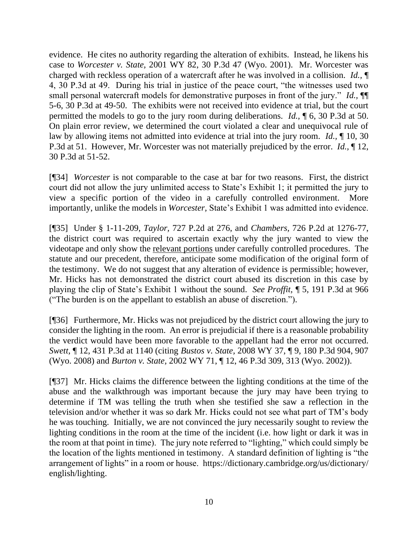evidence. He cites no authority regarding the alteration of exhibits. Instead, he likens his case to *Worcester v. State,* 2001 WY 82, 30 P.3d 47 (Wyo. 2001). Mr. Worcester was charged with reckless operation of a watercraft after he was involved in a collision. *Id.,* ¶ 4, 30 P.3d at 49. During his trial in justice of the peace court, "the witnesses used two small personal watercraft models for demonstrative purposes in front of the jury." *Id.*,  $\P$ 5-6, 30 P.3d at 49-50. The exhibits were not received into evidence at trial, but the court permitted the models to go to the jury room during deliberations. *Id.,* ¶ 6, 30 P.3d at 50. On plain error review, we determined the court violated a clear and unequivocal rule of law by allowing items not admitted into evidence at trial into the jury room. *Id.,* ¶ 10, 30 P.3d at 51. However, Mr. Worcester was not materially prejudiced by the error. *Id.,* ¶ 12, 30 P.3d at 51-52.

[¶34] *Worcester* is not comparable to the case at bar for two reasons. First, the district court did not allow the jury unlimited access to State's Exhibit 1; it permitted the jury to view a specific portion of the video in a carefully controlled environment. More importantly, unlike the models in *Worcester,* State's Exhibit 1 was admitted into evidence.

[¶35] Under § 1-11-209, *Taylor,* 727 P.2d at 276, and *Chambers,* 726 P.2d at 1276-77, the district court was required to ascertain exactly why the jury wanted to view the videotape and only show the relevant portions under carefully controlled procedures.The statute and our precedent, therefore, anticipate some modification of the original form of the testimony. We do not suggest that any alteration of evidence is permissible; however, Mr. Hicks has not demonstrated the district court abused its discretion in this case by playing the clip of State's Exhibit 1 without the sound. *See Proffit,* ¶ 5, 191 P.3d at 966 ("The burden is on the appellant to establish an abuse of discretion.").

[¶36] Furthermore, Mr. Hicks was not prejudiced by the district court allowing the jury to consider the lighting in the room. An error is prejudicial if there is a reasonable probability the verdict would have been more favorable to the appellant had the error not occurred. *Swett,* ¶ 12, 431 P.3d at 1140 (citing *Bustos v. State,* 2008 WY 37, ¶ 9, 180 P.3d 904, 907 (Wyo. 2008) and *Burton v. State,* 2002 WY 71, ¶ 12, 46 P.3d 309, 313 (Wyo. 2002)).

[¶37] Mr. Hicks claims the difference between the lighting conditions at the time of the abuse and the walkthrough was important because the jury may have been trying to determine if TM was telling the truth when she testified she saw a reflection in the television and/or whether it was so dark Mr. Hicks could not see what part of TM's body he was touching. Initially, we are not convinced the jury necessarily sought to review the lighting conditions in the room at the time of the incident (i.e. how light or dark it was in the room at that point in time). The jury note referred to "lighting," which could simply be the location of the lights mentioned in testimony. A standard definition of lighting is "the arrangement of lights" in a room or house. https://dictionary.cambridge.org/us/dictionary/ english/lighting.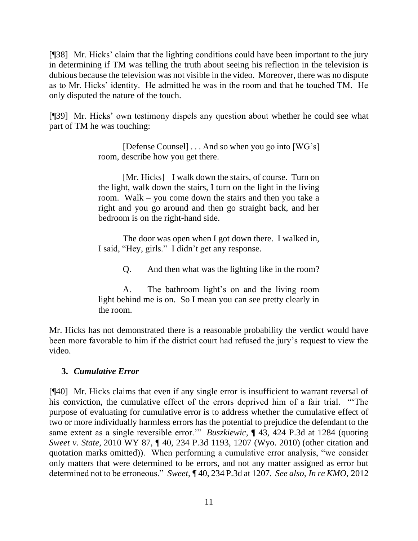[¶38] Mr. Hicks' claim that the lighting conditions could have been important to the jury in determining if TM was telling the truth about seeing his reflection in the television is dubious because the television was not visible in the video. Moreover, there was no dispute as to Mr. Hicks' identity. He admitted he was in the room and that he touched TM. He only disputed the nature of the touch.

[¶39] Mr. Hicks' own testimony dispels any question about whether he could see what part of TM he was touching:

> [Defense Counsel] . . . And so when you go into [WG's] room, describe how you get there.

> [Mr. Hicks] I walk down the stairs, of course. Turn on the light, walk down the stairs, I turn on the light in the living room. Walk – you come down the stairs and then you take a right and you go around and then go straight back, and her bedroom is on the right-hand side.

> The door was open when I got down there. I walked in, I said, "Hey, girls." I didn't get any response.

> > Q. And then what was the lighting like in the room?

A. The bathroom light's on and the living room light behind me is on. So I mean you can see pretty clearly in the room.

Mr. Hicks has not demonstrated there is a reasonable probability the verdict would have been more favorable to him if the district court had refused the jury's request to view the video.

## **3.** *Cumulative Error*

[¶40] Mr. Hicks claims that even if any single error is insufficient to warrant reversal of his conviction, the cumulative effect of the errors deprived him of a fair trial. "'The purpose of evaluating for cumulative error is to address whether the cumulative effect of two or more individually harmless errors has the potential to prejudice the defendant to the same extent as a single reversible error.'" *Buszkiewic,* ¶ 43, 424 P.3d at 1284 (quoting *Sweet v. State,* 2010 WY 87, ¶ 40, 234 P.3d 1193, 1207 (Wyo. 2010) (other citation and quotation marks omitted)). When performing a cumulative error analysis, "we consider only matters that were determined to be errors, and not any matter assigned as error but determined not to be erroneous." *Sweet,* ¶ 40, 234 P.3d at 1207*. See also, In re KMO,* 2012